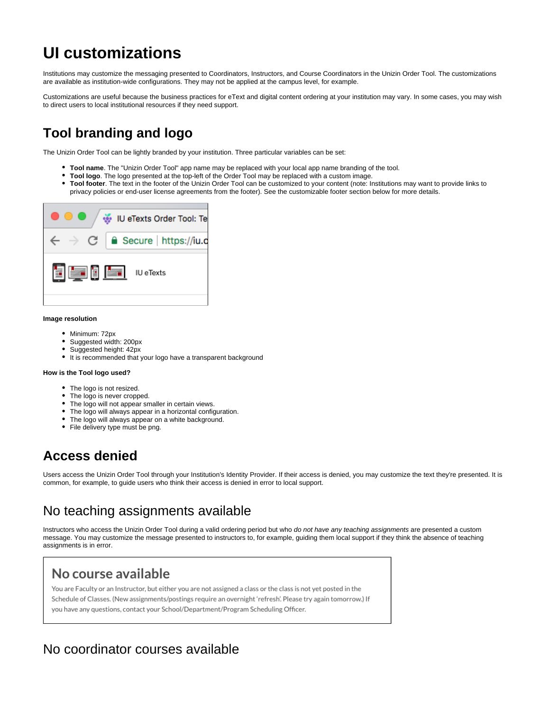# **UI customizations**

Institutions may customize the messaging presented to Coordinators, Instructors, and Course Coordinators in the Unizin Order Tool. The customizations are available as institution-wide configurations. They may not be applied at the campus level, for example.

Customizations are useful because the business practices for eText and digital content ordering at your institution may vary. In some cases, you may wish to direct users to local institutional resources if they need support.

# **Tool branding and logo**

The Unizin Order Tool can be lightly branded by your institution. Three particular variables can be set:

- **Tool name**. The "Unizin Order Tool" app name may be replaced with your local app name branding of the tool.
- **Tool logo**. The logo presented at the top-left of the Order Tool may be replaced with a custom image.
- **Tool footer**. The text in the footer of the Unizin Order Tool can be customized to your content (note: Institutions may want to provide links to privacy policies or end-user license agreements from the footer). See the customizable footer section below for more details.



#### **Image resolution**

- Minimum: 72px
- Suggested width: 200px
- Suggested height: 42px
- It is recommended that your logo have a transparent background

#### **How is the Tool logo used?**

- The logo is not resized.
- The logo is never cropped.
- The logo will not appear smaller in certain views.
- The logo will always appear in a horizontal configuration.
- The logo will always appear on a white background.
- File delivery type must be png.

## **Access denied**

Users access the Unizin Order Tool through your Institution's Identity Provider. If their access is denied, you may customize the text they're presented. It is common, for example, to guide users who think their access is denied in error to local support.

### No teaching assignments available

Instructors who access the Unizin Order Tool during a valid ordering period but who do not have any teaching assignments are presented a custom message. You may customize the message presented to instructors to, for example, guiding them local support if they think the absence of teaching assignments is in error.

### No course available

You are Faculty or an Instructor, but either you are not assigned a class or the class is not yet posted in the Schedule of Classes. (New assignments/postings require an overnight 'refresh'. Please try again tomorrow.) If you have any questions, contact your School/Department/Program Scheduling Officer.

### No coordinator courses available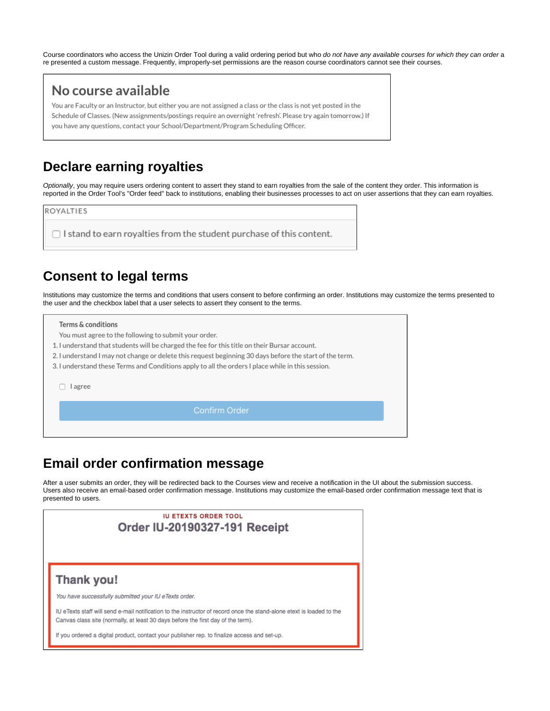Course coordinators who access the Unizin Order Tool during a valid ordering period but who do not have any available courses for which they can order a re presented a custom message. Frequently, improperly-set permissions are the reason course coordinators cannot see their courses.

#### No course available

You are Faculty or an Instructor, but either you are not assigned a class or the class is not yet posted in the Schedule of Classes. (New assignments/postings require an overnight 'refresh'. Please try again tomorrow.) If you have any questions, contact your School/Department/Program Scheduling Officer.

### **Declare earning royalties**

Optionally, you may require users ordering content to assert they stand to earn royalties from the sale of the content they order. This information is reported in the Order Tool's "Order feed" back to institutions, enabling their businesses processes to act on user assertions that they can earn royalties.

ROYALTIES

 $\Box$  I stand to earn royalties from the student purchase of this content.

#### **Consent to legal terms**

Institutions may customize the terms and conditions that users consent to before confirming an order. Institutions may customize the terms presented to the user and the checkbox label that a user selects to assert they consent to the terms.

| Terms & conditions |  |  |  |
|--------------------|--|--|--|
|                    |  |  |  |

You must agree to the following to submit your order.

- 1. I understand that students will be charged the fee for this title on their Bursar account.
- 2. I understand I may not change or delete this request beginning 30 days before the start of the term.
- 3. I understand these Terms and Conditions apply to all the orders I place while in this session.

□ lagree

**Confirm Order** 

### **Email order confirmation message**

After a user submits an order, they will be redirected back to the Courses view and receive a notification in the UI about the submission success. Users also receive an email-based order confirmation message. Institutions may customize the email-based order confirmation message text that is presented to users.

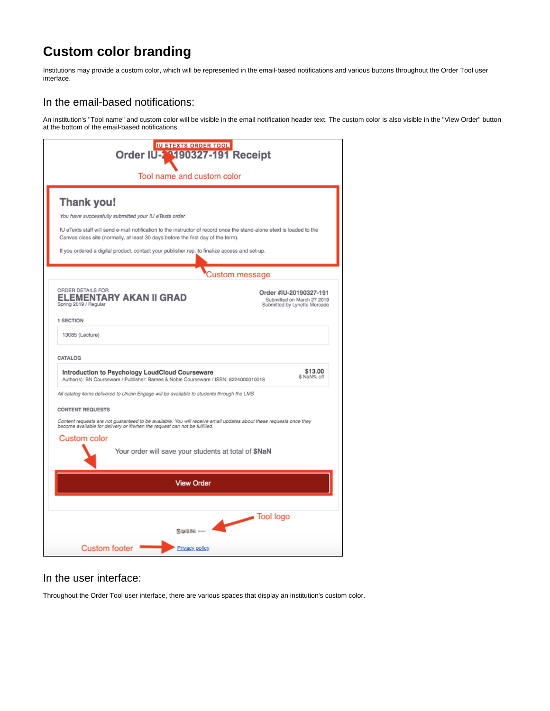## **Custom color branding**

Institutions may provide a custom color, which will be represented in the email-based notifications and various buttons throughout the Order Tool user interface.

#### In the email-based notifications:

An institution's "Tool name" and custom color will be visible in the email notification header text. The custom color is also visible in the "View Order" button at the bottom of the email-based notifications.

| <b>IU ETEXTS ORDER TOOL</b><br>Order IU-2 9190327-191 Receipt                                                                                                                                             |                                                                                      |  |  |  |
|-----------------------------------------------------------------------------------------------------------------------------------------------------------------------------------------------------------|--------------------------------------------------------------------------------------|--|--|--|
| Tool name and custom color                                                                                                                                                                                |                                                                                      |  |  |  |
| Thank you!                                                                                                                                                                                                |                                                                                      |  |  |  |
| You have successfully submitted your IU eTexts order.                                                                                                                                                     |                                                                                      |  |  |  |
| IU eTexts staff will send e-mail notification to the instructor of record once the stand-alone etext is loaded to the<br>Canvas class site (normally, at least 30 days before the first day of the term). |                                                                                      |  |  |  |
| If you ordered a digital product, contact your publisher rep. to finalize access and set-up.                                                                                                              |                                                                                      |  |  |  |
| Custom message                                                                                                                                                                                            |                                                                                      |  |  |  |
| ORDER DETAILS FOR<br><b>ELEMENTARY AKAN II GRAD</b><br>Spring 2019 / Regular                                                                                                                              | Order #IU-20190327-191<br>Submitted on March 27 2019<br>Submitted by Lynette Mercado |  |  |  |
| 1 SECTION                                                                                                                                                                                                 |                                                                                      |  |  |  |
| 13085 (Lecture)                                                                                                                                                                                           |                                                                                      |  |  |  |
| CATALOG                                                                                                                                                                                                   |                                                                                      |  |  |  |
| Introduction to Psychology LoudCloud Courseware<br>Author(s): BN Courseware / Publisher: Barnes & Noble Courseware / ISBN: 8224000010018                                                                  | \$13.00<br>\$ NaN% off                                                               |  |  |  |
| All catalog items delivered to Unizin Engage will be available to students through the LMS.                                                                                                               |                                                                                      |  |  |  |
| <b>CONTENT REQUESTS</b>                                                                                                                                                                                   |                                                                                      |  |  |  |
| Content requests are not guaranteed to be available. You will receive email updates about these requests once they<br>become available for delivery or if/when the request can not be fulfilled.          |                                                                                      |  |  |  |
| Custom color                                                                                                                                                                                              |                                                                                      |  |  |  |
| Your order will save your students at total of \$NaN                                                                                                                                                      |                                                                                      |  |  |  |
| <b>View Order</b>                                                                                                                                                                                         |                                                                                      |  |  |  |
|                                                                                                                                                                                                           |                                                                                      |  |  |  |
| <b>Northern Street, Assistant</b>                                                                                                                                                                         | Tool logo                                                                            |  |  |  |
|                                                                                                                                                                                                           |                                                                                      |  |  |  |
| <b>Custom footer</b><br>Privacy policy                                                                                                                                                                    |                                                                                      |  |  |  |

#### In the user interface:

Throughout the Order Tool user interface, there are various spaces that display an institution's custom color.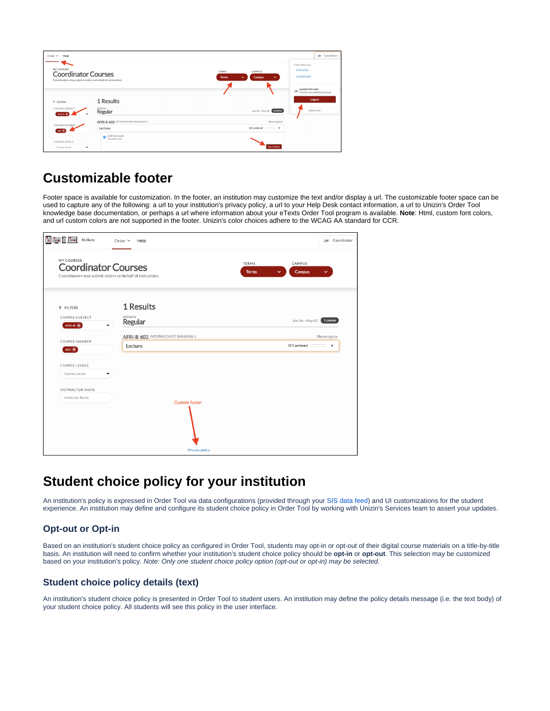| Help<br>Order $\times$                                                                               |                                              |                                                                                         | LM Coordinator                                                |
|------------------------------------------------------------------------------------------------------|----------------------------------------------|-----------------------------------------------------------------------------------------|---------------------------------------------------------------|
| MY COURSES<br><b>Coordinator Courses</b><br>Coordinators may submit orders on behalf of instructors. |                                              | <b>TERMS</b><br>CAMPUS<br><b>Campus</b><br><b>Terms</b><br>$\checkmark$<br>$\checkmark$ | YOUR PROFILES<br>instructor<br>coordinator                    |
|                                                                                                      | 1 Results                                    |                                                                                         | Lynette Mercado<br>UM<br>Ivnette.mercado@unizin.org<br>Logout |
| <b>T FILTERS</b><br>COURSE SUBJECT<br>AFRI-B X                                                       | SESSION<br>Regular                           | Jan 06 - May 02   1 course                                                              | Update avatar                                                 |
| COURSE NUMBER                                                                                        | AFRI-B 602 INTERMEDIATE BAMANA II<br>Lecture | Bloomington<br>$0/1$ ordered $\blacktriangledown$                                       |                                                               |
| $602$ $\times$<br>COURSE LEVELS                                                                      | 6181 (Lecture)<br>Amadou Sow<br>ø            |                                                                                         |                                                               |
| Course Levels<br>$\check{}$                                                                          |                                              | <b>Start Order</b>                                                                      |                                                               |

# **Customizable footer**

Footer space is available for customization. In the footer, an institution may customize the text and/or display a url. The customizable footer space can be used to capture any of the following: a url to your institution's privacy policy, a url to your Help Desk contact information, a url to Unizin's Order Tool knowledge base documentation, or perhaps a url where information about your eTexts Order Tool program is available. **Note**: Html, custom font colors, and url custom colors are not supported in the footer. Unizin's color choices adhere to the WCAG AA standard for CCR.

| <b>EE</b> VeTexts                                                                                    | Order $\times$<br>Help                       | LM Coordinator                                   |
|------------------------------------------------------------------------------------------------------|----------------------------------------------|--------------------------------------------------|
| MY COURSES<br><b>Coordinator Courses</b><br>Coordinators may submit orders on behalf of instructors. | <b>TERMS</b><br><b>Terms</b>                 | CAMPUS<br>Campus<br>$\checkmark$<br>$\checkmark$ |
| <b>T</b> FILTERS<br>COURSE SUBJECT<br>AFRI-B X                                                       | 1 Results<br>SESSION<br>Regular              | Jan 06 - May 02 <b>1 course</b>                  |
| <b>COURSE NUMBER</b><br>$602 \times$                                                                 | AFRI-B 602 INTERMEDIATE BAMANA II<br>Lecture | Bloomington<br>$0/1$ ordered $\qquad \qquad$ 4   |
| COURSE LEVELS<br>Course Levels                                                                       |                                              |                                                  |
| <b>INSTRUCTOR NAME</b><br>Instructor Name                                                            |                                              |                                                  |
|                                                                                                      | <b>Custom footer</b><br>Privacy policy       |                                                  |

## **Student choice policy for your institution**

An institution's policy is expressed in Order Tool via data configurations (provided through your [SIS data feed\)](https://resources.unizin.org/pages/viewpage.action?pageId=7635529) and UI customizations for the student experience. An institution may define and configure its student choice policy in Order Tool by working with Unizin's Services team to assert your updates.

#### **Opt-out or Opt-in**

Based on an institution's student choice policy as configured in Order Tool, students may opt-in or opt-out of their digital course materials on a title-by-title basis. An institution will need to confirm whether your institution's student choice policy should be **opt-in** or **opt-out**. This selection may be customized based on your institution's policy. Note: Only one student choice policy option (opt-out or opt-in) may be selected.

#### **Student choice policy details (text)**

An institution's student choice policy is presented in Order Tool to student users. An institution may define the policy details message (i.e. the text body) of your student choice policy. All students will see this policy in the user interface.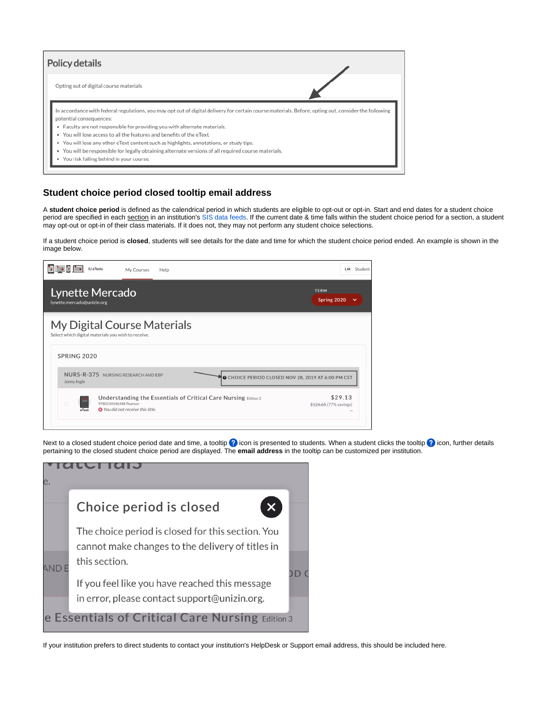| Policy details                                                                                                                                                                                                                                                                                                                                                                                                                                                                                                                                                                      |  |
|-------------------------------------------------------------------------------------------------------------------------------------------------------------------------------------------------------------------------------------------------------------------------------------------------------------------------------------------------------------------------------------------------------------------------------------------------------------------------------------------------------------------------------------------------------------------------------------|--|
| Opting out of digital course materials                                                                                                                                                                                                                                                                                                                                                                                                                                                                                                                                              |  |
| In accordance with federal regulations, you may opt out of digital delivery for certain course materials. Before, opting out, consider the following<br>potential consequences:<br>. Faculty are not responsible for providing you with alternate materials.<br>. You will lose access to all the features and benefits of the eText.<br>. You will lose any other eText content such as highlights, annotations, or study tips.<br>. You will be responsible for legally obtaining alternate versions of all required course materials.<br>You risk falling behind in your course. |  |

#### **Student choice period closed tooltip email address**

A **student choice period** is defined as the calendrical period in which students are eligible to opt-out or opt-in. Start and end dates for a student choice period are specified in each section in an institution's [SIS data feeds](https://resources.unizin.org/pages/viewpage.action?pageId=7635529). If the current date & time falls within the student choice period for a section, a student may opt-out or opt-in of their class materials. If it does not, they may not perform any student choice selections.

If a student choice period is **closed**, students will see details for the date and time for which the student choice period ended. An example is shown in the image below.



Next to a closed student choice period date and time, a tooltip  $\Omega$  icon is presented to students. When a student clicks the tooltip  $\Omega$  icon, further details pertaining to the closed student choice period are displayed. The **email address** in the tooltip can be customized per institution.

|  | Choice period is closed                                                                                                |  |
|--|------------------------------------------------------------------------------------------------------------------------|--|
|  | The choice period is closed for this section. You<br>cannot make changes to the delivery of titles in<br>this section. |  |
|  | If you feel like you have reached this message<br>in error, please contact support@unizin.org.                         |  |
|  | <b>e Essentials of Critical Care Nursing Edition 3</b>                                                                 |  |

If your institution prefers to direct students to contact your institution's HelpDesk or Support email address, this should be included here.